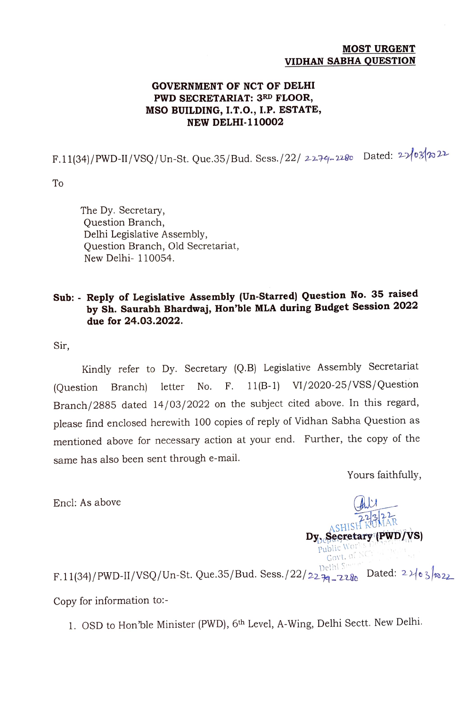#### MOST URGENT VIDHAN SABHA QUESTION

### GOVERNMENT OF NCT OF DELHI PWD SECRETARIAT: 3RD FLOOR, MSO BUILDING, I.T.O., I.P. ESTATE, NEW DELHI-110002

F.11(34)/PWD-II/VSQ/Un-St. Que.35/Bud. Sess./22/ 2279-2280 Dated: 22/03/7022

To

The Dy. Secretary, Question Branch, Delhi Legislative Assembly, Question Branch, Old Secretariat, New Delhi- 110054.

## Sub: Reply of Legislative Assembly (Un-Starred) Question No. 35 raised by Sh. Saurabh Bhardwaj, Hon'ble MLA during Budget Session <sup>2022</sup> due for 24.03.2022.

Sir,

Kindly refer to Dy. Secretary (Q.B) Legislative Assembly Secretariat (Question Branch) letter No. F. 11(B-1) VI/2020-25/Vss/Question Branch/2885 dated 14/03/2022 on the subject cited above. In this regard, please find enclosed herewith 100 copies of reply of Vidhan Sabha Question as mentioned above for necessary action at your end. Further, the copy of the same has also been sent through e-mail.

Yours faithfully,

A CHISH KUMAR

Govt. o

 $\mathbf{Dy}_\text{public World}$ 

Encl: As above

 $F.11(34)/PWD-II/VSQ/Un-St. Que.35/Bud. Sess./22/22-74-2280$  Dated:  $2\frac{1}{8}$  Dated:  $2\frac{1}{8}$ Copy for information to:-

1. OSD to Hon'ble Minister (PWD), 6th Level, A-Wing, Delhi Sectt. New Delhi.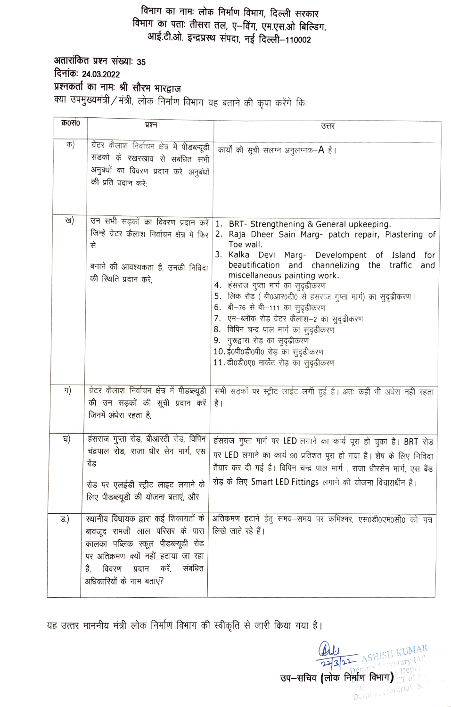## विभाग का नामः लोक निर्माण विभाग, दिल्ली सरकार विभाग का पताः तीसरा तल, ए-विंग, एम.एस.ओ बिल्डिंग, आई.टी.ओ. इन्द्रप्रस्थ संपदा, नई दिल्ली-110002

अतारांकित प्रश्न संख्याः 35 दिनांकः 24.03.2022 प्रश्नकर्ता का नामः श्री सौरभ भारद्वाज क्या उपमुख्यमंत्री/मंत्री, लोक निर्माण विभाग यह बताने की कृपा करेंगें किः

| क्र0सं0 | प्रश्न                                                                                                                                                                               |                                                                                                                                                                                                                                                                                                                                                                                                                                                                                                                                                                                                                 |
|---------|--------------------------------------------------------------------------------------------------------------------------------------------------------------------------------------|-----------------------------------------------------------------------------------------------------------------------------------------------------------------------------------------------------------------------------------------------------------------------------------------------------------------------------------------------------------------------------------------------------------------------------------------------------------------------------------------------------------------------------------------------------------------------------------------------------------------|
|         |                                                                                                                                                                                      | उत्तर                                                                                                                                                                                                                                                                                                                                                                                                                                                                                                                                                                                                           |
| क)      | ग्रेटर कैलाश निर्वाचन क्षेत्र में पीडब्ल्यूडी<br>सड़कों के रखरखाव से संबंधित सभी<br>अनुबंधों का विवरण प्रदान करे, अनुबंधों<br>की प्रति प्रदान करें:                                  | कार्यों की सूची संलग्न अनुलग्नक– <b>A</b> है।                                                                                                                                                                                                                                                                                                                                                                                                                                                                                                                                                                   |
| ख)      | उन सभी सड़कों का विवरण प्रदान करें<br>जिन्हें ग्रेटर कैलाश निर्वाचन क्षेत्र में फिर<br>से<br>बनाने की आवश्यकता है, उनकी निविदा<br>की स्थिति प्रदान करे;                              | 1. BRT- Strengthening & General upkeeping.<br>2. Raja Dheer Sain Marg- patch repair, Plastering of<br>Toe wall.<br>3. Kalka Devi Marg- Develompent of Island for<br>beautification and channelizing the traffic and<br>miscellaneous painting work.<br>4.  हंसराज गुप्ता मार्ग का सुदृढीकरण<br>लिंक रोड़ ( बी0आर0टी0 से हंसराज गुप्ता मार्ग) का सुदृढीकरण।<br>5.<br>6. बी-76 से बी-111 का सुदृढीकरण<br>7. एम-ब्लॉक रोड़ ग्रेटर कैलाश-2 का सुदृढीकरण<br>8. विपिन चन्द्र पाल मार्ग का सुदृढीकरण<br>9. गुरूद्वारा रोड़ का सुदृढीकरण<br>10. ई0पी0डी0पी0 रोड़ का सुदृढीकरण<br>11. डी0डी0ए0 मार्केट रोड़ का सुदृढीकरण |
| ग)      | ग्रेटर कैलाश निर्वाचन क्षेत्र में पीडब्ल्यूडी<br>की उन सड़कों की सूची प्रदान करें<br>जिनमें अंधेरा रहता है;                                                                          | सभी सड़कों पर स्ट्रीट लाईट लगी हुई है। अतः कहीं भी अंधेरा नहीं रहता<br>है ।                                                                                                                                                                                                                                                                                                                                                                                                                                                                                                                                     |
| घ)      | हंसराज गुप्ता रोड, बीआरटी रोड, विपिन<br>चंद्रपाल रोड, राजा धीर सेन मार्ग, एस<br>बेंड<br>रोड पर एलईडी स्ट्रीट लाइट लगाने के<br>लिए पीडब्ल्यूडी की योजना बताएं; और                     | हंसराज गुप्ता मार्ग पर LED लगाने का कार्य पूरा हो चुका है। BRT रोड़<br>पर LED लगाने का कार्य 90 प्रतिशत पूरा हो गया है। शेष के लिए निविदा<br>तैयार कर दी गई है। विपिन चन्द्र पाल मार्ग, राजा धीरसेन मार्ग, एस बैंड<br>रोड़ के लिए Smart LED Fittings लगाने की योजना विचाराधीन है।                                                                                                                                                                                                                                                                                                                               |
| હ.)     | बावजूद रामजी लाल परिसर के पास<br>कालका पब्लिक स्कूल पीडब्ल्यूडी रोड<br>पर अतिक्रमण क्यों नहीं हटाया जा रहा<br>करें,<br>संबंधित<br>विवरण<br>प्रदान<br>है.<br>अधिकारियों के नाम बताएं? | स्थानीय विधायक द्वारा कई शिकायतों के अतिक्रमण हटाने हेतु समय-समय पर कमिश्नर, एस0डी0एम0सी0 को पत्र<br>लिखे जाते रहे हैं।                                                                                                                                                                                                                                                                                                                                                                                                                                                                                         |

यह उत्तर माननीय मंत्री लोक निर्माण विभाग की स्वीकृति से जारी किया गया है।